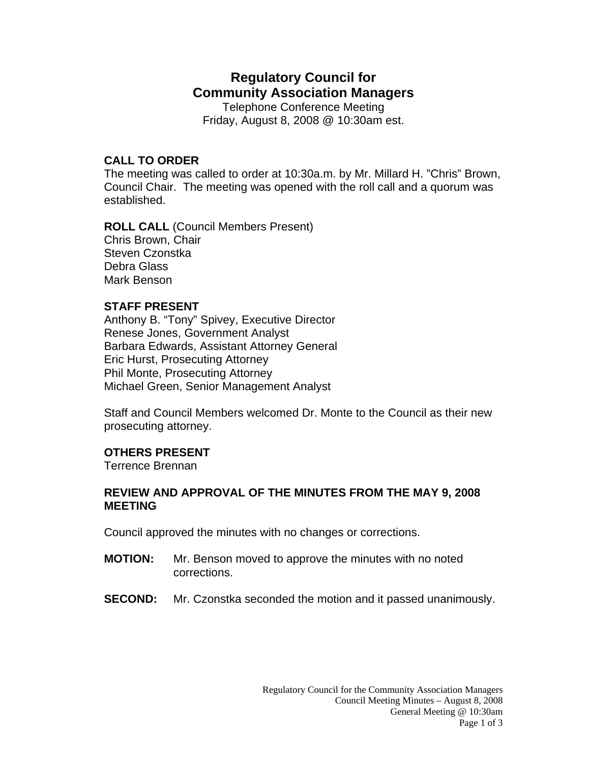# **Regulatory Council for Community Association Managers**

Telephone Conference Meeting Friday, August 8, 2008 @ 10:30am est.

## **CALL TO ORDER**

The meeting was called to order at 10:30a.m. by Mr. Millard H. "Chris" Brown, Council Chair. The meeting was opened with the roll call and a quorum was established.

**ROLL CALL** (Council Members Present) Chris Brown, Chair Steven Czonstka Debra Glass Mark Benson

### **STAFF PRESENT**

Anthony B. "Tony" Spivey, Executive Director Renese Jones, Government Analyst Barbara Edwards, Assistant Attorney General Eric Hurst, Prosecuting Attorney Phil Monte, Prosecuting Attorney Michael Green, Senior Management Analyst

Staff and Council Members welcomed Dr. Monte to the Council as their new prosecuting attorney.

## **OTHERS PRESENT**

Terrence Brennan

## **REVIEW AND APPROVAL OF THE MINUTES FROM THE MAY 9, 2008 MEETING**

Council approved the minutes with no changes or corrections.

- **MOTION:** Mr. Benson moved to approve the minutes with no noted corrections.
- **SECOND:** Mr. Czonstka seconded the motion and it passed unanimously.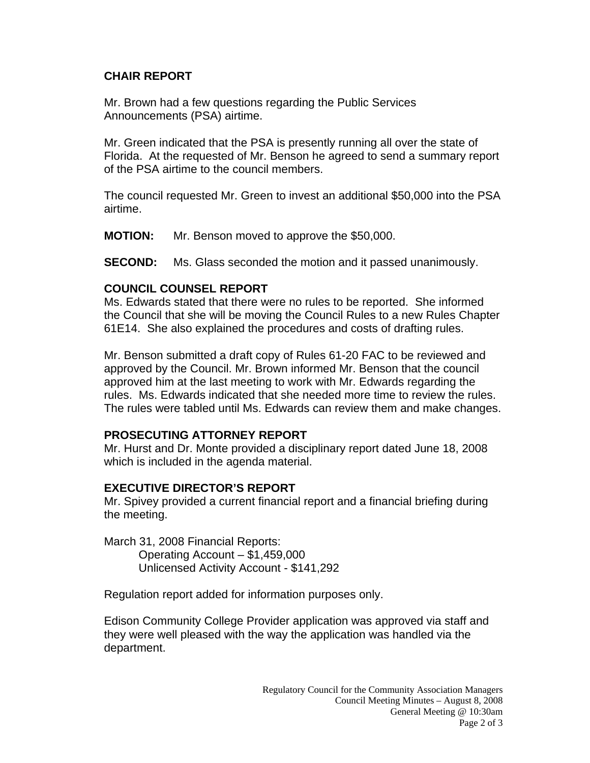# **CHAIR REPORT**

Mr. Brown had a few questions regarding the Public Services Announcements (PSA) airtime.

Mr. Green indicated that the PSA is presently running all over the state of Florida. At the requested of Mr. Benson he agreed to send a summary report of the PSA airtime to the council members.

The council requested Mr. Green to invest an additional \$50,000 into the PSA airtime.

**MOTION:** Mr. Benson moved to approve the \$50,000.

**SECOND:** Ms. Glass seconded the motion and it passed unanimously.

## **COUNCIL COUNSEL REPORT**

Ms. Edwards stated that there were no rules to be reported. She informed the Council that she will be moving the Council Rules to a new Rules Chapter 61E14. She also explained the procedures and costs of drafting rules.

Mr. Benson submitted a draft copy of Rules 61-20 FAC to be reviewed and approved by the Council. Mr. Brown informed Mr. Benson that the council approved him at the last meeting to work with Mr. Edwards regarding the rules. Ms. Edwards indicated that she needed more time to review the rules. The rules were tabled until Ms. Edwards can review them and make changes.

## **PROSECUTING ATTORNEY REPORT**

Mr. Hurst and Dr. Monte provided a disciplinary report dated June 18, 2008 which is included in the agenda material.

## **EXECUTIVE DIRECTOR'S REPORT**

Mr. Spivey provided a current financial report and a financial briefing during the meeting.

March 31, 2008 Financial Reports: Operating Account – \$1,459,000 Unlicensed Activity Account - \$141,292

Regulation report added for information purposes only.

Edison Community College Provider application was approved via staff and they were well pleased with the way the application was handled via the department.